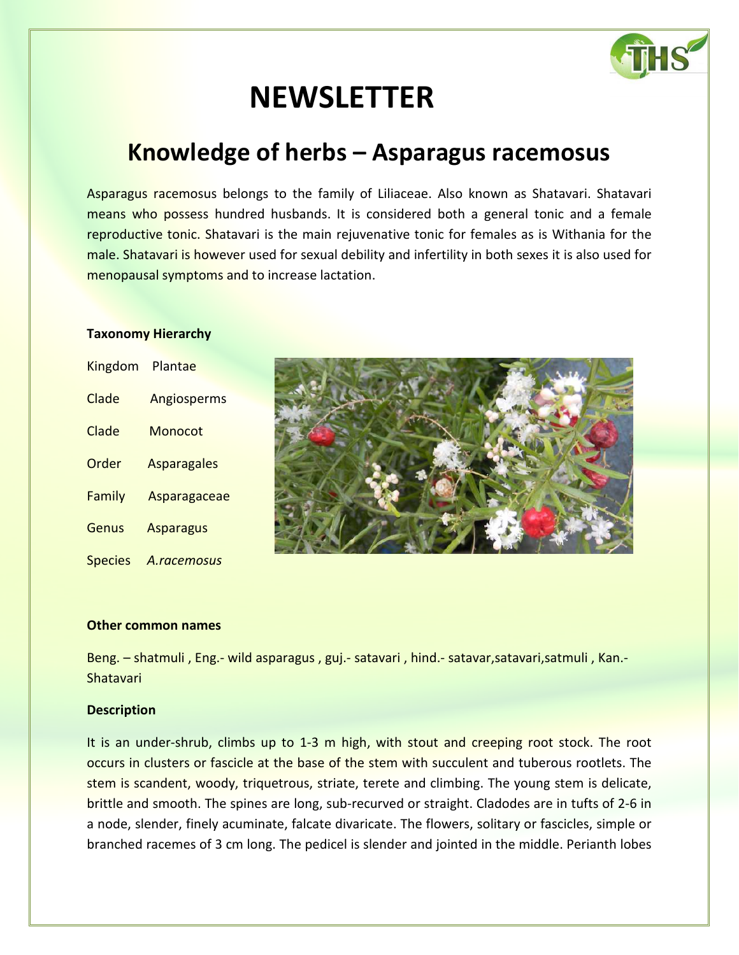

# **NEWSLETTER**

# **Knowledge of herbs – Asparagus racemosus**

Asparagus racemosus belongs to the family of Liliaceae. Also known as Shatavari. Shatavari means who possess hundred husbands. It is considered both a general tonic and a female reproductive tonic. Shatavari is the main rejuvenative tonic for females as is Withania for the male. Shatavari is however used for sexual debility and infertility in both sexes it is also used for menopausal symptoms and to increase lactation.

## **Taxonomy Hierarchy**

| <b>Kingdom</b> | Plantae            |
|----------------|--------------------|
| Clade          | Angiosperms        |
| Clade          | Monocot            |
| Order          | <b>Asparagales</b> |
| Family         | Asparagaceae       |
| Genus          | <b>Asparagus</b>   |
| <b>Species</b> | A.racemosus        |



# **Other common names**

Beng. – shatmuli , Eng.- wild asparagus , guj.- satavari , hind.- satavar,satavari,satmuli , Kan.- Shatavari

## **Description**

It is an under-shrub, climbs up to 1-3 m high, with stout and creeping root stock. The root occurs in clusters or fascicle at the base of the stem with succulent and tuberous rootlets. The stem is scandent, woody, triquetrous, striate, terete and climbing. The young stem is delicate, brittle and smooth. The spines are long, sub-recurved or straight. Cladodes are in tufts of 2-6 in a node, slender, finely acuminate, falcate divaricate. The flowers, solitary or fascicles, simple or branched racemes of 3 cm long. The pedicel is slender and jointed in the middle. Perianth lobes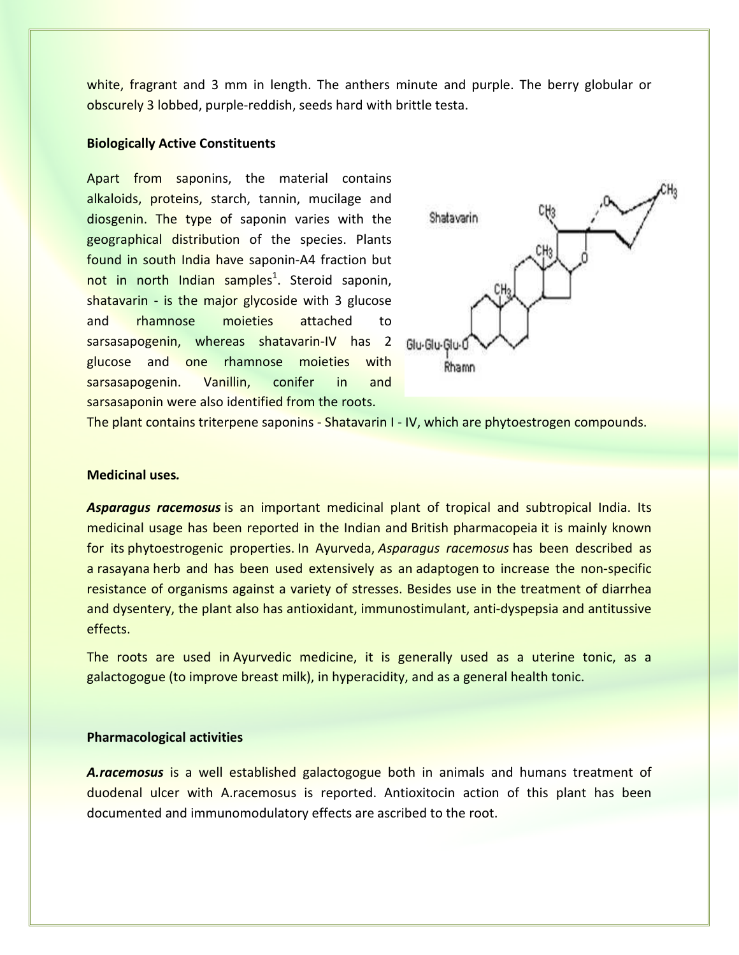white, fragrant and 3 mm in length. The anthers minute and purple. The berry globular or obscurely 3 lobbed, purple-reddish, seeds hard with brittle testa.

#### **Biologically Active Constituents**

Apart from saponins, the material contains alkaloids, proteins, starch, tannin, mucilage and diosgenin. The type of saponin varies with the geographical distribution of the species. Plants found in south India have saponin-A4 fraction but not in north Indian samples<sup>1</sup>. Steroid saponin, shatavarin - is the major glycoside with 3 glucose and rhamnose moieties attached to sarsasapogenin, whereas shatavarin-IV has 2 glucose and one rhamnose moieties with sarsasapogenin. Vanillin, conifer in and sarsasaponin were also identified from the roots.



The plant contains triterpene saponins - Shatavarin I - IV, which are phytoestrogen compounds.

#### **Medicinal uses***.*

*Asparagus racemosus* is an important medicinal plant of tropical and subtropical India. Its medicinal usage has been reported in the Indian and British pharmacopeia it is mainly known for its phytoestrogenic properties. In Ayurveda, *Asparagus racemosus* has been described as a rasayana herb and has been used extensively as an adaptogen to increase the non-specific resistance of organisms against a variety of stresses. Besides use in the treatment of diarrhea and dysentery, the plant also has antioxidant, immunostimulant, anti-dyspepsia and antitussive effects.

The roots are used in Ayurvedic medicine, it is generally used as a uterine tonic, as a galactogogue (to improve breast milk), in hyperacidity, and as a general health tonic.

# **Pharmacological activities**

*A.racemosus* is a well established galactogogue both in animals and humans treatment of duodenal ulcer with A.racemosus is reported. Antioxitocin action of this plant has been documented and immunomodulatory effects are ascribed to the root.